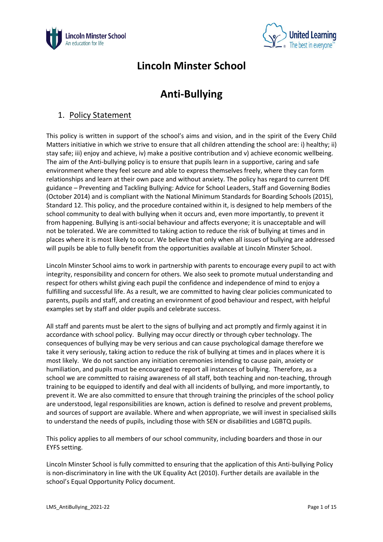



# **Lincoln Minster School**

# **Anti-Bullying**

### 1. Policy Statement

This policy is written in support of the school's aims and vision, and in the spirit of the Every Child Matters initiative in which we strive to ensure that all children attending the school are: i) healthy; ii) stay safe; iii) enjoy and achieve, iv) make a positive contribution and v) achieve economic wellbeing. The aim of the Anti-bullying policy is to ensure that pupils learn in a supportive, caring and safe environment where they feel secure and able to express themselves freely, where they can form relationships and learn at their own pace and without anxiety. The policy has regard to current DfE guidance – Preventing and Tackling Bullying: Advice for School Leaders, Staff and Governing Bodies (October 2014) and is compliant with the National Minimum Standards for Boarding Schools (2015), Standard 12. This policy, and the procedure contained within it, is designed to help members of the school community to deal with bullying when it occurs and, even more importantly, to prevent it from happening. Bullying is anti-social behaviour and affects everyone; it is unacceptable and will not be tolerated. We are committed to taking action to reduce the risk of bullying at times and in places where it is most likely to occur. We believe that only when all issues of bullying are addressed will pupils be able to fully benefit from the opportunities available at Lincoln Minster School.

Lincoln Minster School aims to work in partnership with parents to encourage every pupil to act with integrity, responsibility and concern for others. We also seek to promote mutual understanding and respect for others whilst giving each pupil the confidence and independence of mind to enjoy a fulfilling and successful life. As a result, we are committed to having clear policies communicated to parents, pupils and staff, and creating an environment of good behaviour and respect, with helpful examples set by staff and older pupils and celebrate success.

All staff and parents must be alert to the signs of bullying and act promptly and firmly against it in accordance with school policy. Bullying may occur directly or through cyber technology. The consequences of bullying may be very serious and can cause psychological damage therefore we take it very seriously, taking action to reduce the risk of bullying at times and in places where it is most likely. We do not sanction any initiation ceremonies intending to cause pain, anxiety or humiliation, and pupils must be encouraged to report all instances of bullying. Therefore, as a school we are committed to raising awareness of all staff, both teaching and non-teaching, through training to be equipped to identify and deal with all incidents of bullying, and more importantly, to prevent it. We are also committed to ensure that through training the principles of the school policy are understood, legal responsibilities are known, action is defined to resolve and prevent problems, and sources of support are available. Where and when appropriate, we will invest in specialised skills to understand the needs of pupils, including those with SEN or disabilities and LGBTQ pupils.

This policy applies to all members of our school community, including boarders and those in our EYFS setting.

Lincoln Minster School is fully committed to ensuring that the application of this Anti-bullying Policy is non-discriminatory in line with the UK Equality Act (2010). Further details are available in the school's Equal Opportunity Policy document.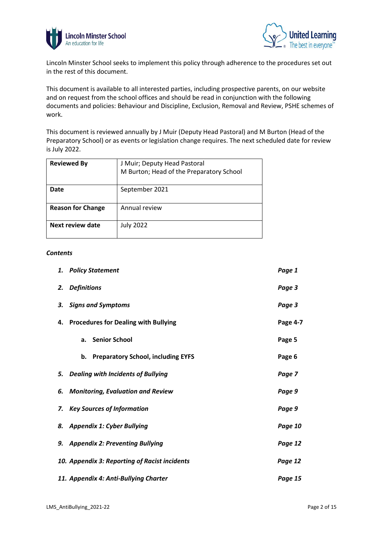



Lincoln Minster School seeks to implement this policy through adherence to the procedures set out in the rest of this document.

This document is available to all interested parties, including prospective parents, on our website and on request from the school offices and should be read in conjunction with the following documents and policies: Behaviour and Discipline, Exclusion, Removal and Review, PSHE schemes of work.

This document is reviewed annually by J Muir (Deputy Head Pastoral) and M Burton (Head of the Preparatory School) or as events or legislation change requires. The next scheduled date for review is July 2022.

| <b>Reviewed By</b>       | J Muir; Deputy Head Pastoral<br>M Burton; Head of the Preparatory School |
|--------------------------|--------------------------------------------------------------------------|
| Date                     | September 2021                                                           |
| <b>Reason for Change</b> | Annual review                                                            |
| Next review date         | <b>July 2022</b>                                                         |

#### *Contents*

| 1. | <b>Policy Statement</b>                         | Page 1   |
|----|-------------------------------------------------|----------|
| 2. | <b>Definitions</b>                              | Page 3   |
| З. | <b>Signs and Symptoms</b>                       | Page 3   |
| 4. | <b>Procedures for Dealing with Bullying</b>     | Page 4-7 |
|    | <b>Senior School</b><br>a.                      | Page 5   |
|    | <b>Preparatory School, including EYFS</b><br>b. | Page 6   |
|    | 5. Dealing with Incidents of Bullying           | Page 7   |
| 6. | <b>Monitoring, Evaluation and Review</b>        | Page 9   |
| 7. | <b>Key Sources of Information</b>               | Page 9   |
| 8. | <b>Appendix 1: Cyber Bullying</b>               | Page 10  |
|    | 9. Appendix 2: Preventing Bullying              | Page 12  |
|    | 10. Appendix 3: Reporting of Racist incidents   | Page 12  |
|    | 11. Appendix 4: Anti-Bullying Charter           | Page 15  |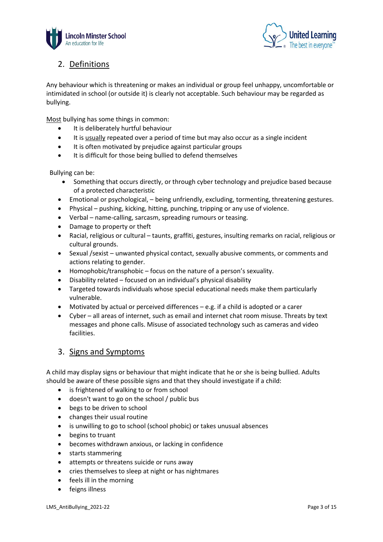



### 2. Definitions

Any behaviour which is threatening or makes an individual or group feel unhappy, uncomfortable or intimidated in school (or outside it) is clearly not acceptable. Such behaviour may be regarded as bullying.

Most bullying has some things in common:

- It is deliberately hurtful behaviour
- It is usually repeated over a period of time but may also occur as a single incident
- It is often motivated by prejudice against particular groups
- It is difficult for those being bullied to defend themselves

Bullying can be:

- Something that occurs directly, or through cyber technology and prejudice based because of a protected characteristic
- Emotional or psychological, being unfriendly, excluding, tormenting, threatening gestures.
- Physical pushing, kicking, hitting, punching, tripping or any use of violence.
- Verbal name-calling, sarcasm, spreading rumours or teasing.
- Damage to property or theft
- Racial, religious or cultural taunts, graffiti, gestures, insulting remarks on racial, religious or cultural grounds.
- Sexual /sexist unwanted physical contact, sexually abusive comments, or comments and actions relating to gender.
- Homophobic/transphobic focus on the nature of a person's sexuality.
- Disability related focused on an individual's physical disability
- Targeted towards individuals whose special educational needs make them particularly vulnerable.
- Motivated by actual or perceived differences e.g. if a child is adopted or a carer
- Cyber all areas of internet, such as email and internet chat room misuse. Threats by text messages and phone calls. Misuse of associated technology such as cameras and video facilities.

#### 3. Signs and Symptoms

A child may display signs or behaviour that might indicate that he or she is being bullied. Adults should be aware of these possible signs and that they should investigate if a child:

- is frightened of walking to or from school
- doesn't want to go on the school / public bus
- begs to be driven to school
- changes their usual routine
- is unwilling to go to school (school phobic) or takes unusual absences
- begins to truant
- becomes withdrawn anxious, or lacking in confidence
- starts stammering
- attempts or threatens suicide or runs away
- cries themselves to sleep at night or has nightmares
- feels ill in the morning
- feigns illness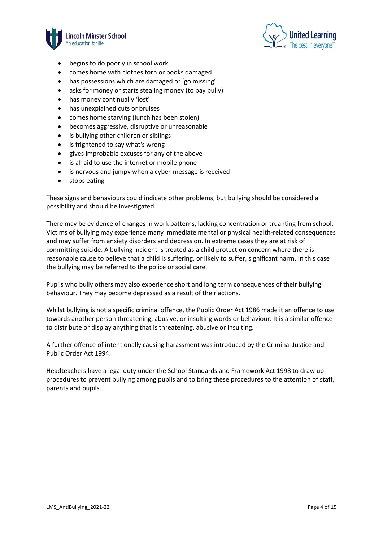



- begins to do poorly in school work
- comes home with clothes torn or books damaged
- has possessions which are damaged or 'go missing'
- asks for money or starts stealing money (to pay bully)
- has money continually 'lost'
- has unexplained cuts or bruises
- comes home starving (lunch has been stolen)
- becomes aggressive, disruptive or unreasonable
- is bullying other children or siblings
- is frightened to say what's wrong
- gives improbable excuses for any of the above
- is afraid to use the internet or mobile phone
- is nervous and jumpy when a cyber-message is received
- stops eating

These signs and behaviours could indicate other problems, but bullying should be considered a possibility and should be investigated.

There may be evidence of changes in work patterns, lacking concentration or truanting from school. Victims of bullying may experience many immediate mental or physical health-related consequences and may suffer from anxiety disorders and depression. In extreme cases they are at risk of committing suicide. A bullying incident is treated as a child protection concern where there is reasonable cause to believe that a child is suffering, or likely to suffer, significant harm. In this case the bullying may be referred to the police or social care.

Pupils who bully others may also experience short and long term consequences of their bullying behaviour. They may become depressed as a result of their actions.

Whilst bullying is not a specific criminal offence, the Public Order Act 1986 made it an offence to use towards another person threatening, abusive, or insulting words or behaviour. It is a similar offence to distribute or display anything that is threatening, abusive or insulting.

A further offence of intentionally causing harassment was introduced by the Criminal Justice and Public Order Act 1994.

Headteachers have a legal duty under the School Standards and Framework Act 1998 to draw up procedures to prevent bullying among pupils and to bring these procedures to the attention of staff, parents and pupils.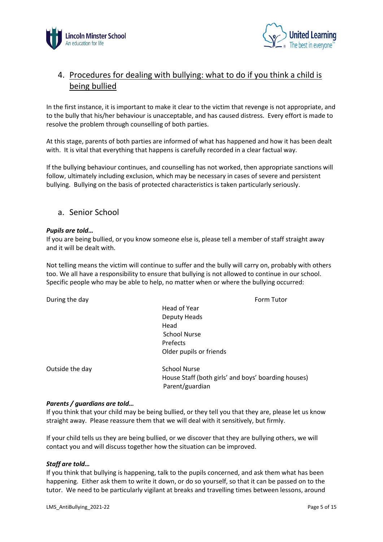



## 4. Procedures for dealing with bullying: what to do if you think a child is being bullied

In the first instance, it is important to make it clear to the victim that revenge is not appropriate, and to the bully that his/her behaviour is unacceptable, and has caused distress. Every effort is made to resolve the problem through counselling of both parties.

At this stage, parents of both parties are informed of what has happened and how it has been dealt with. It is vital that everything that happens is carefully recorded in a clear factual way.

If the bullying behaviour continues, and counselling has not worked, then appropriate sanctions will follow, ultimately including exclusion, which may be necessary in cases of severe and persistent bullying. Bullying on the basis of protected characteristics is taken particularly seriously.

#### a. Senior School

#### *Pupils are told…*

If you are being bullied, or you know someone else is, please tell a member of staff straight away and it will be dealt with.

Not telling means the victim will continue to suffer and the bully will carry on, probably with others too. We all have a responsibility to ensure that bullying is not allowed to continue in our school. Specific people who may be able to help, no matter when or where the bullying occurred:

During the day **Form Tutor Form Tutor** 

Head of Year Deputy Heads Head School Nurse Prefects Older pupils or friends

Outside the day School Nurse

House Staff (both girls' and boys' boarding houses) Parent/guardian

#### *Parents / guardians are told…*

If you think that your child may be being bullied, or they tell you that they are, please let us know straight away. Please reassure them that we will deal with it sensitively, but firmly.

If your child tells us they are being bullied, or we discover that they are bullying others, we will contact you and will discuss together how the situation can be improved.

#### *Staff are told…*

If you think that bullying is happening, talk to the pupils concerned, and ask them what has been happening. Either ask them to write it down, or do so yourself, so that it can be passed on to the tutor. We need to be particularly vigilant at breaks and travelling times between lessons, around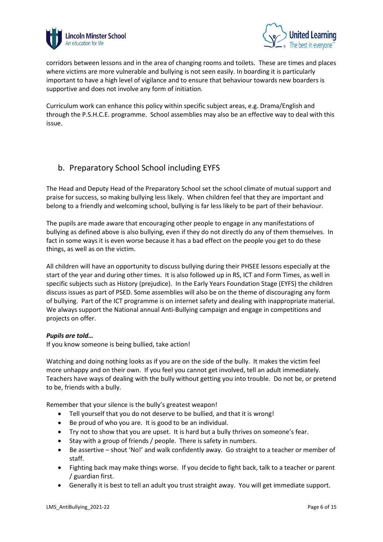



corridors between lessons and in the area of changing rooms and toilets. These are times and places where victims are more vulnerable and bullying is not seen easily. In boarding it is particularly important to have a high level of vigilance and to ensure that behaviour towards new boarders is supportive and does not involve any form of initiation.

Curriculum work can enhance this policy within specific subject areas, e.g. Drama/English and through the P.S.H.C.E. programme. School assemblies may also be an effective way to deal with this issue.

### b. Preparatory School School including EYFS

The Head and Deputy Head of the Preparatory School set the school climate of mutual support and praise for success, so making bullying less likely. When children feel that they are important and belong to a friendly and welcoming school, bullying is far less likely to be part of their behaviour.

The pupils are made aware that encouraging other people to engage in any manifestations of bullying as defined above is also bullying, even if they do not directly do any of them themselves. In fact in some ways it is even worse because it has a bad effect on the people you get to do these things, as well as on the victim.

All children will have an opportunity to discuss bullying during their PHSEE lessons especially at the start of the year and during other times. It is also followed up in RS, ICT and Form Times, as well in specific subjects such as History (prejudice). In the Early Years Foundation Stage (EYFS) the children discuss issues as part of PSED. Some assemblies will also be on the theme of discouraging any form of bullying. Part of the ICT programme is on internet safety and dealing with inappropriate material. We always support the National annual Anti-Bullying campaign and engage in competitions and projects on offer.

#### *Pupils are told…*

If you know someone is being bullied, take action!

Watching and doing nothing looks as if you are on the side of the bully. It makes the victim feel more unhappy and on their own. If you feel you cannot get involved, tell an adult immediately. Teachers have ways of dealing with the bully without getting you into trouble. Do not be, or pretend to be, friends with a bully.

Remember that your silence is the bully's greatest weapon!

- Tell yourself that you do not deserve to be bullied, and that it is wrong!
- Be proud of who you are. It is good to be an individual.
- Try not to show that you are upset. It is hard but a bully thrives on someone's fear.
- Stay with a group of friends / people. There is safety in numbers.
- Be assertive shout 'No!' and walk confidently away. Go straight to a teacher or member of staff.
- Fighting back may make things worse. If you decide to fight back, talk to a teacher or parent / guardian first.
- Generally it is best to tell an adult you trust straight away. You will get immediate support.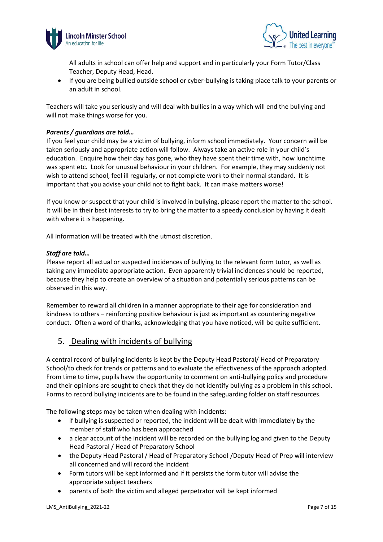



All adults in school can offer help and support and in particularly your Form Tutor/Class Teacher, Deputy Head, Head.

• If you are being bullied outside school or cyber-bullying is taking place talk to your parents or an adult in school.

Teachers will take you seriously and will deal with bullies in a way which will end the bullying and will not make things worse for you.

#### *Parents / guardians are told…*

If you feel your child may be a victim of bullying, inform school immediately. Your concern will be taken seriously and appropriate action will follow. Always take an active role in your child's education. Enquire how their day has gone, who they have spent their time with, how lunchtime was spent etc. Look for unusual behaviour in your children. For example, they may suddenly not wish to attend school, feel ill regularly, or not complete work to their normal standard. It is important that you advise your child not to fight back. It can make matters worse!

If you know or suspect that your child is involved in bullying, please report the matter to the school. It will be in their best interests to try to bring the matter to a speedy conclusion by having it dealt with where it is happening.

All information will be treated with the utmost discretion.

#### *Staff are told…*

Please report all actual or suspected incidences of bullying to the relevant form tutor, as well as taking any immediate appropriate action. Even apparently trivial incidences should be reported, because they help to create an overview of a situation and potentially serious patterns can be observed in this way.

Remember to reward all children in a manner appropriate to their age for consideration and kindness to others – reinforcing positive behaviour is just as important as countering negative conduct. Often a word of thanks, acknowledging that you have noticed, will be quite sufficient.

### 5. Dealing with incidents of bullying

A central record of bullying incidents is kept by the Deputy Head Pastoral/ Head of Preparatory School/to check for trends or patterns and to evaluate the effectiveness of the approach adopted. From time to time, pupils have the opportunity to comment on anti-bullying policy and procedure and their opinions are sought to check that they do not identify bullying as a problem in this school. Forms to record bullying incidents are to be found in the safeguarding folder on staff resources.

The following steps may be taken when dealing with incidents:

- if bullying is suspected or reported, the incident will be dealt with immediately by the member of staff who has been approached
- a clear account of the incident will be recorded on the bullying log and given to the Deputy Head Pastoral / Head of Preparatory School
- the Deputy Head Pastoral / Head of Preparatory School /Deputy Head of Prep will interview all concerned and will record the incident
- Form tutors will be kept informed and if it persists the form tutor will advise the appropriate subject teachers
- parents of both the victim and alleged perpetrator will be kept informed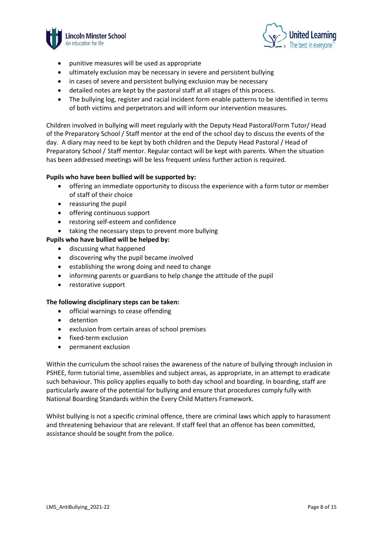



- punitive measures will be used as appropriate
- ultimately exclusion may be necessary in severe and persistent bullying
- in cases of severe and persistent bullying exclusion may be necessary
- detailed notes are kept by the pastoral staff at all stages of this process.
- The bullying log, register and racial incident form enable patterns to be identified in terms of both victims and perpetrators and will inform our intervention measures.

Children involved in bullying will meet regularly with the Deputy Head Pastoral/Form Tutor/ Head of the Preparatory School / Staff mentor at the end of the school day to discuss the events of the day. A diary may need to be kept by both children and the Deputy Head Pastoral / Head of Preparatory School / Staff mentor. Regular contact will be kept with parents. When the situation has been addressed meetings will be less frequent unless further action is required.

#### **Pupils who have been bullied will be supported by:**

- offering an immediate opportunity to discuss the experience with a form tutor or member of staff of their choice
- reassuring the pupil
- offering continuous support
- restoring self-esteem and confidence
- taking the necessary steps to prevent more bullying

#### **Pupils who have bullied will be helped by:**

- discussing what happened
- discovering why the pupil became involved
- establishing the wrong doing and need to change
- informing parents or guardians to help change the attitude of the pupil
- restorative support

#### **The following disciplinary steps can be taken:**

- official warnings to cease offending
- detention
- exclusion from certain areas of school premises
- fixed-term exclusion
- permanent exclusion

Within the curriculum the school raises the awareness of the nature of bullying through inclusion in PSHEE, form tutorial time, assemblies and subject areas, as appropriate, in an attempt to eradicate such behaviour. This policy applies equally to both day school and boarding. In boarding, staff are particularly aware of the potential for bullying and ensure that procedures comply fully with National Boarding Standards within the Every Child Matters Framework.

Whilst bullying is not a specific criminal offence, there are criminal laws which apply to harassment and threatening behaviour that are relevant. If staff feel that an offence has been committed, assistance should be sought from the police.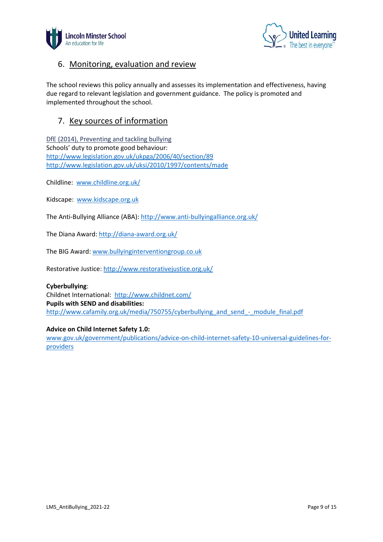



### 6. Monitoring, evaluation and review

The school reviews this policy annually and assesses its implementation and effectiveness, having due regard to relevant legislation and government guidance. The policy is promoted and implemented throughout the school.

### 7. Key sources of information

[DfE \(2014\), Preventing and tackling bullying](https://www.gov.uk/government/publications/preventing-and-tackling-bullying) Schools' duty to promote good behaviour: <http://www.legislation.gov.uk/ukpga/2006/40/section/89> <http://www.legislation.gov.uk/uksi/2010/1997/contents/made>

Childline: [www.childline.org.uk/](http://www.childline.org.uk/)

Kidscape: [www.kidscape.org.uk](http://www.kidscape.org.uk/)

The Anti-Bullying Alliance (ABA):<http://www.anti-bullyingalliance.org.uk/>

The Diana Award[: http://diana-award.org.uk/](http://diana-award.org.uk/)

The BIG Award: [www.bullyinginterventiongroup.co.uk](http://www.bullyinginterventiongroup.co.uk/)

Restorative Justice:<http://www.restorativejustice.org.uk/>

#### **Cyberbullying**:

Childnet International: <http://www.childnet.com/> **Pupils with SEND and disabilities:**  [http://www.cafamily.org.uk/media/750755/cyberbullying\\_and\\_send\\_-\\_module\\_final.pdf](http://www.cafamily.org.uk/media/750755/cyberbullying_and_send_-_module_final.pdf)

#### **Advice on Child Internet Safety 1.0:**

[www.gov.uk/government/publications/advice-on-child-internet-safety-10-universal-guidelines-for](http://www.gov.uk/government/publications/advice-on-child-internet-safety-10-universal-guidelines-for-providers)[providers](http://www.gov.uk/government/publications/advice-on-child-internet-safety-10-universal-guidelines-for-providers)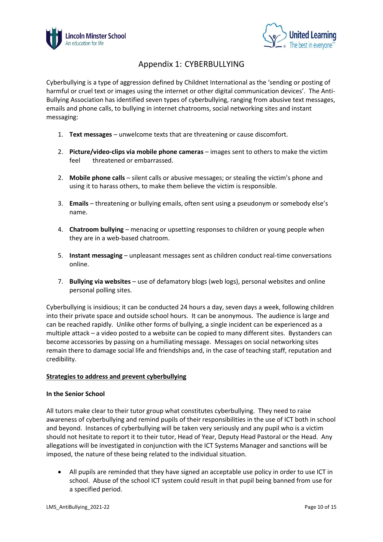



## Appendix 1: CYBERBULLYING

Cyberbullying is a type of aggression defined by Childnet International as the 'sending or posting of harmful or cruel text or images using the internet or other digital communication devices'. The Anti-Bullying Association has identified seven types of cyberbullying, ranging from abusive text messages, emails and phone calls, to bullying in internet chatrooms, social networking sites and instant messaging:

- 1. **Text messages** unwelcome texts that are threatening or cause discomfort.
- 2. **Picture/video-clips via mobile phone cameras** images sent to others to make the victim feel threatened or embarrassed.
- 2. **Mobile phone calls** silent calls or abusive messages; or stealing the victim's phone and using it to harass others, to make them believe the victim is responsible.
- 3. **Emails** threatening or bullying emails, often sent using a pseudonym or somebody else's name.
- 4. **Chatroom bullying** menacing or upsetting responses to children or young people when they are in a web-based chatroom.
- 5. **Instant messaging** unpleasant messages sent as children conduct real-time conversations online.
- 7. **Bullying via websites** use of defamatory blogs (web logs), personal websites and online personal polling sites.

Cyberbullying is insidious; it can be conducted 24 hours a day, seven days a week, following children into their private space and outside school hours. It can be anonymous. The audience is large and can be reached rapidly. Unlike other forms of bullying, a single incident can be experienced as a multiple attack – a video posted to a website can be copied to many different sites. Bystanders can become accessories by passing on a humiliating message. Messages on social networking sites remain there to damage social life and friendships and, in the case of teaching staff, reputation and credibility.

#### **Strategies to address and prevent cyberbullying**

#### **In the Senior School**

All tutors make clear to their tutor group what constitutes cyberbullying. They need to raise awareness of cyberbullying and remind pupils of their responsibilities in the use of ICT both in school and beyond. Instances of cyberbullying will be taken very seriously and any pupil who is a victim should not hesitate to report it to their tutor, Head of Year, Deputy Head Pastoral or the Head. Any allegations will be investigated in conjunction with the ICT Systems Manager and sanctions will be imposed, the nature of these being related to the individual situation.

• All pupils are reminded that they have signed an acceptable use policy in order to use ICT in school. Abuse of the school ICT system could result in that pupil being banned from use for a specified period.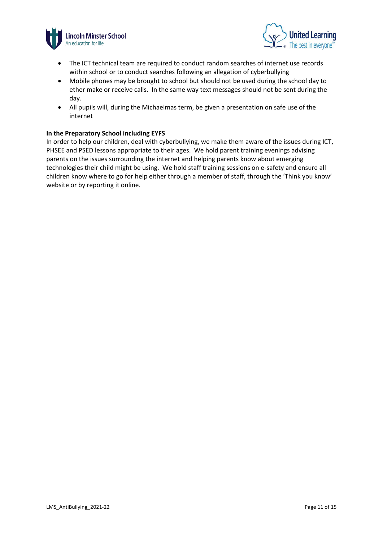



- The ICT technical team are required to conduct random searches of internet use records within school or to conduct searches following an allegation of cyberbullying
- Mobile phones may be brought to school but should not be used during the school day to ether make or receive calls. In the same way text messages should not be sent during the day.
- All pupils will, during the Michaelmas term, be given a presentation on safe use of the internet

#### **In the Preparatory School including EYFS**

In order to help our children, deal with cyberbullying, we make them aware of the issues during ICT, PHSEE and PSED lessons appropriate to their ages. We hold parent training evenings advising parents on the issues surrounding the internet and helping parents know about emerging technologies their child might be using. We hold staff training sessions on e-safety and ensure all children know where to go for help either through a member of staff, through the 'Think you know' website or by reporting it online.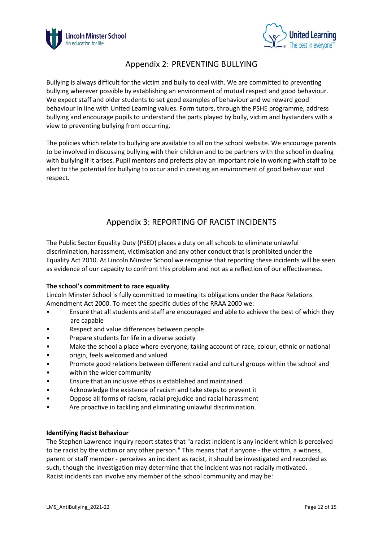



### Appendix 2: PREVENTING BULLYING

Bullying is always difficult for the victim and bully to deal with. We are committed to preventing bullying wherever possible by establishing an environment of mutual respect and good behaviour. We expect staff and older students to set good examples of behaviour and we reward good behaviour in line with United Learning values. Form tutors, through the PSHE programme, address bullying and encourage pupils to understand the parts played by bully, victim and bystanders with a view to preventing bullying from occurring.

The policies which relate to bullying are available to all on the school website. We encourage parents to be involved in discussing bullying with their children and to be partners with the school in dealing with bullying if it arises. Pupil mentors and prefects play an important role in working with staff to be alert to the potential for bullying to occur and in creating an environment of good behaviour and respect.

## Appendix 3: REPORTING OF RACIST INCIDENTS

The Public Sector Equality Duty (PSED) places a duty on all schools to eliminate unlawful discrimination, harassment, victimisation and any other conduct that is prohibited under the Equality Act 2010. At Lincoln Minster School we recognise that reporting these incidents will be seen as evidence of our capacity to confront this problem and not as a reflection of our effectiveness.

#### **The school's commitment to race equality**

Lincoln Minster School is fully committed to meeting its obligations under the Race Relations Amendment Act 2000. To meet the specific duties of the RRAA 2000 we:

- Ensure that all students and staff are encouraged and able to achieve the best of which they are capable
- Respect and value differences between people
- Prepare students for life in a diverse society
- Make the school a place where everyone, taking account of race, colour, ethnic or national
- origin, feels welcomed and valued
- Promote good relations between different racial and cultural groups within the school and
- within the wider community
- Ensure that an inclusive ethos is established and maintained
- Acknowledge the existence of racism and take steps to prevent it
- Oppose all forms of racism, racial prejudice and racial harassment
- Are proactive in tackling and eliminating unlawful discrimination.

#### **Identifying Racist Behaviour**

The Stephen Lawrence Inquiry report states that "a racist incident is any incident which is perceived to be racist by the victim or any other person." This means that if anyone - the victim, a witness, parent or staff member - perceives an incident as racist, it should be investigated and recorded as such, though the investigation may determine that the incident was not racially motivated. Racist incidents can involve any member of the school community and may be: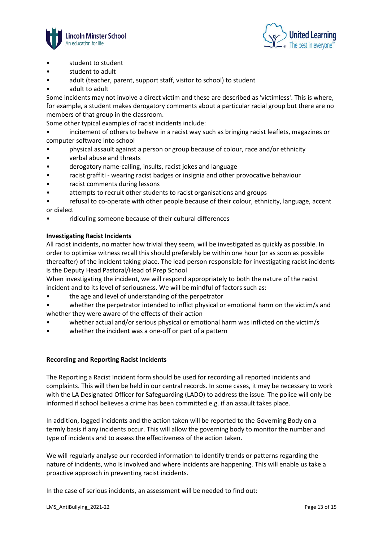



- student to student
- student to adult
- adult (teacher, parent, support staff, visitor to school) to student
- adult to adult

Some incidents may not involve a direct victim and these are described as 'victimless'. This is where, for example, a student makes derogatory comments about a particular racial group but there are no members of that group in the classroom.

Some other typical examples of racist incidents include:

• incitement of others to behave in a racist way such as bringing racist leaflets, magazines or computer software into school

- physical assault against a person or group because of colour, race and/or ethnicity
- verbal abuse and threats
- derogatory name-calling, insults, racist jokes and language
- racist graffiti wearing racist badges or insignia and other provocative behaviour
- racist comments during lessons
- attempts to recruit other students to racist organisations and groups
- refusal to co-operate with other people because of their colour, ethnicity, language, accent or dialect
- ridiculing someone because of their cultural differences

#### **Investigating Racist Incidents**

All racist incidents, no matter how trivial they seem, will be investigated as quickly as possible. In order to optimise witness recall this should preferably be within one hour (or as soon as possible thereafter) of the incident taking place. The lead person responsible for investigating racist incidents is the Deputy Head Pastoral/Head of Prep School

When investigating the incident, we will respond appropriately to both the nature of the racist incident and to its level of seriousness. We will be mindful of factors such as:

- the age and level of understanding of the perpetrator
- whether the perpetrator intended to inflict physical or emotional harm on the victim/s and whether they were aware of the effects of their action
- whether actual and/or serious physical or emotional harm was inflicted on the victim/s
- whether the incident was a one-off or part of a pattern

#### **Recording and Reporting Racist Incidents**

The Reporting a Racist Incident form should be used for recording all reported incidents and complaints. This will then be held in our central records. In some cases, it may be necessary to work with the LA Designated Officer for Safeguarding (LADO) to address the issue. The police will only be informed if school believes a crime has been committed e.g. if an assault takes place.

In addition, logged incidents and the action taken will be reported to the Governing Body on a termly basis if any incidents occur. This will allow the governing body to monitor the number and type of incidents and to assess the effectiveness of the action taken.

We will regularly analyse our recorded information to identify trends or patterns regarding the nature of incidents, who is involved and where incidents are happening. This will enable us take a proactive approach in preventing racist incidents.

In the case of serious incidents, an assessment will be needed to find out: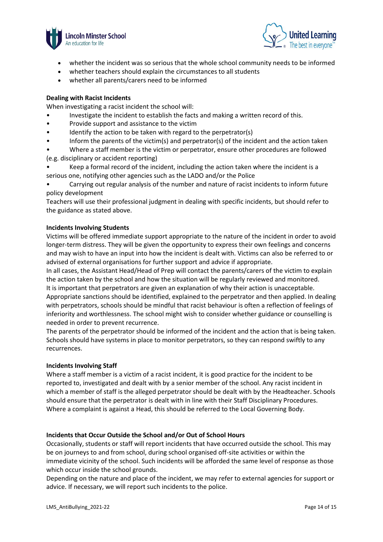



- whether the incident was so serious that the whole school community needs to be informed
- whether teachers should explain the circumstances to all students
- whether all parents/carers need to be informed

#### **Dealing with Racist Incidents**

When investigating a racist incident the school will:

- Investigate the incident to establish the facts and making a written record of this.
- Provide support and assistance to the victim
- Identify the action to be taken with regard to the perpetrator(s)
- Inform the parents of the victim(s) and perpetrator(s) of the incident and the action taken

• Where a staff member is the victim or perpetrator, ensure other procedures are followed (e.g. disciplinary or accident reporting)

• Keep a formal record of the incident, including the action taken where the incident is a serious one, notifying other agencies such as the LADO and/or the Police

• Carrying out regular analysis of the number and nature of racist incidents to inform future policy development

Teachers will use their professional judgment in dealing with specific incidents, but should refer to the guidance as stated above.

#### **Incidents Involving Students**

Victims will be offered immediate support appropriate to the nature of the incident in order to avoid longer-term distress. They will be given the opportunity to express their own feelings and concerns and may wish to have an input into how the incident is dealt with. Victims can also be referred to or advised of external organisations for further support and advice if appropriate.

In all cases, the Assistant Head/Head of Prep will contact the parents/carers of the victim to explain the action taken by the school and how the situation will be regularly reviewed and monitored. It is important that perpetrators are given an explanation of why their action is unacceptable.

Appropriate sanctions should be identified, explained to the perpetrator and then applied. In dealing with perpetrators, schools should be mindful that racist behaviour is often a reflection of feelings of inferiority and worthlessness. The school might wish to consider whether guidance or counselling is needed in order to prevent recurrence.

The parents of the perpetrator should be informed of the incident and the action that is being taken. Schools should have systems in place to monitor perpetrators, so they can respond swiftly to any recurrences.

#### **Incidents Involving Staff**

Where a staff member is a victim of a racist incident, it is good practice for the incident to be reported to, investigated and dealt with by a senior member of the school. Any racist incident in which a member of staff is the alleged perpetrator should be dealt with by the Headteacher. Schools should ensure that the perpetrator is dealt with in line with their Staff Disciplinary Procedures. Where a complaint is against a Head, this should be referred to the Local Governing Body.

#### **Incidents that Occur Outside the School and/or Out of School Hours**

Occasionally, students or staff will report incidents that have occurred outside the school. This may be on journeys to and from school, during school organised off-site activities or within the immediate vicinity of the school. Such incidents will be afforded the same level of response as those which occur inside the school grounds.

Depending on the nature and place of the incident, we may refer to external agencies for support or advice. If necessary, we will report such incidents to the police.